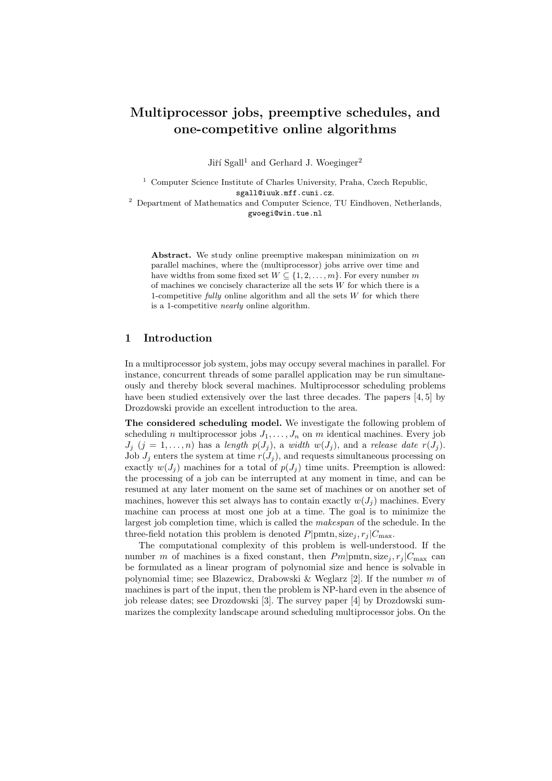# Multiprocessor jobs, preemptive schedules, and one-competitive online algorithms

Jiří Sgall<sup>1</sup> and Gerhard J. Woeginger<sup>2</sup>

<sup>1</sup> Computer Science Institute of Charles University, Praha, Czech Republic, sgall@iuuk.mff.cuni.cz.

<sup>2</sup> Department of Mathematics and Computer Science, TU Eindhoven, Netherlands, gwoegi@win.tue.nl

Abstract. We study online preemptive makespan minimization on m parallel machines, where the (multiprocessor) jobs arrive over time and have widths from some fixed set  $W \subseteq \{1, 2, \ldots, m\}$ . For every number m of machines we concisely characterize all the sets  $W$  for which there is a 1-competitive fully online algorithm and all the sets  $W$  for which there is a 1-competitive nearly online algorithm.

# 1 Introduction

In a multiprocessor job system, jobs may occupy several machines in parallel. For instance, concurrent threads of some parallel application may be run simultaneously and thereby block several machines. Multiprocessor scheduling problems have been studied extensively over the last three decades. The papers [4, 5] by Drozdowski provide an excellent introduction to the area.

The considered scheduling model. We investigate the following problem of scheduling n multiprocessor jobs  $J_1, \ldots, J_n$  on m identical machines. Every job  $J_j$   $(j = 1, \ldots, n)$  has a length  $p(J_j)$ , a width  $w(J_j)$ , and a release date  $r(J_j)$ . Job  $J_j$  enters the system at time  $r(J_j)$ , and requests simultaneous processing on exactly  $w(J_j)$  machines for a total of  $p(J_j)$  time units. Preemption is allowed: the processing of a job can be interrupted at any moment in time, and can be resumed at any later moment on the same set of machines or on another set of machines, however this set always has to contain exactly  $w(J_i)$  machines. Every machine can process at most one job at a time. The goal is to minimize the largest job completion time, which is called the makespan of the schedule. In the three-field notation this problem is denoted  $P|pmtn, size_j, r_j | C_{\text{max}}.$ 

The computational complexity of this problem is well-understood. If the number m of machines is a fixed constant, then  $Pm$ |pmtn,size<sub>i</sub>,  $r_i | C_{\text{max}}$  can be formulated as a linear program of polynomial size and hence is solvable in polynomial time; see Blazewicz, Drabowski & Weglarz [2]. If the number m of machines is part of the input, then the problem is NP-hard even in the absence of job release dates; see Drozdowski [3]. The survey paper [4] by Drozdowski summarizes the complexity landscape around scheduling multiprocessor jobs. On the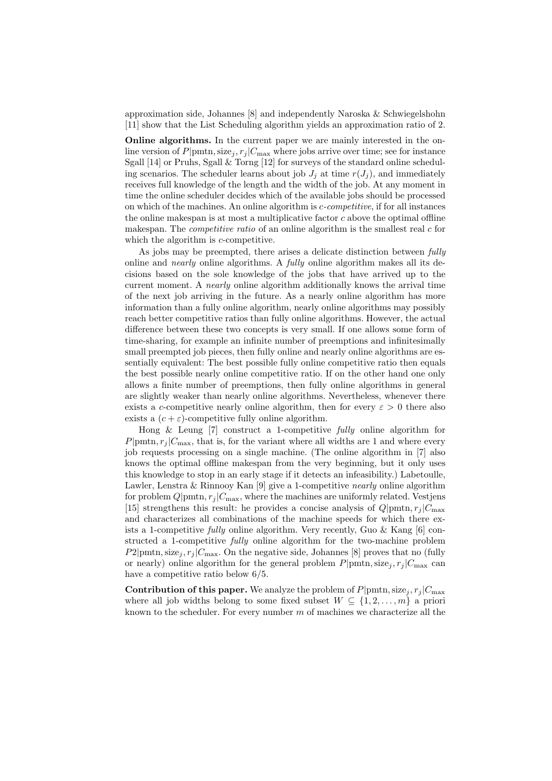approximation side, Johannes [8] and independently Naroska & Schwiegelshohn [11] show that the List Scheduling algorithm yields an approximation ratio of 2.

Online algorithms. In the current paper we are mainly interested in the online version of  $P|pmtn, size_j, r_j|C_{\text{max}}$  where jobs arrive over time; see for instance Sgall [14] or Pruhs, Sgall & Torng [12] for surveys of the standard online scheduling scenarios. The scheduler learns about job  $J_i$  at time  $r(J_i)$ , and immediately receives full knowledge of the length and the width of the job. At any moment in time the online scheduler decides which of the available jobs should be processed on which of the machines. An online algorithm is  $c$ -competitive, if for all instances the online makespan is at most a multiplicative factor  $c$  above the optimal offline makespan. The *competitive ratio* of an online algorithm is the smallest real  $c$  for which the algorithm is *c*-competitive.

As jobs may be preempted, there arises a delicate distinction between *fully* online and *nearly* online algorithms. A *fully* online algorithm makes all its decisions based on the sole knowledge of the jobs that have arrived up to the current moment. A nearly online algorithm additionally knows the arrival time of the next job arriving in the future. As a nearly online algorithm has more information than a fully online algorithm, nearly online algorithms may possibly reach better competitive ratios than fully online algorithms. However, the actual difference between these two concepts is very small. If one allows some form of time-sharing, for example an infinite number of preemptions and infinitesimally small preempted job pieces, then fully online and nearly online algorithms are essentially equivalent: The best possible fully online competitive ratio then equals the best possible nearly online competitive ratio. If on the other hand one only allows a finite number of preemptions, then fully online algorithms in general are slightly weaker than nearly online algorithms. Nevertheless, whenever there exists a c-competitive nearly online algorithm, then for every  $\varepsilon > 0$  there also exists a  $(c + \varepsilon)$ -competitive fully online algorithm.

Hong & Leung [7] construct a 1-competitive fully online algorithm for  $P|\text{pmtn}, r_i|C_{\text{max}}$ , that is, for the variant where all widths are 1 and where every job requests processing on a single machine. (The online algorithm in [7] also knows the optimal offline makespan from the very beginning, but it only uses this knowledge to stop in an early stage if it detects an infeasibility.) Labetoulle, Lawler, Lenstra & Rinnooy Kan [9] give a 1-competitive *nearly* online algorithm for problem  $Q|\text{pmtn}, r_j|C_{\text{max}}$ , where the machines are uniformly related. Vestjens [15] strengthens this result: he provides a concise analysis of  $Q|\text{pmn}, r_i|C_{\text{max}}$ and characterizes all combinations of the machine speeds for which there exists a 1-competitive fully online algorithm. Very recently, Guo & Kang [6] constructed a 1-competitive fully online algorithm for the two-machine problem  $P2$ |pmtn, size<sub>j</sub>,  $r_j$ |C<sub>max</sub>. On the negative side, Johannes [8] proves that no (fully or nearly) online algorithm for the general problem  $P|$ pmtn, size<sub>j</sub>,  $r_j | C_{\text{max}}$  can have a competitive ratio below 6/5.

**Contribution of this paper.** We analyze the problem of  $P|pmtn, size_j, r_j | C_{max}$ where all job widths belong to some fixed subset  $W \subseteq \{1, 2, \ldots, m\}$  a priori known to the scheduler. For every number  $m$  of machines we characterize all the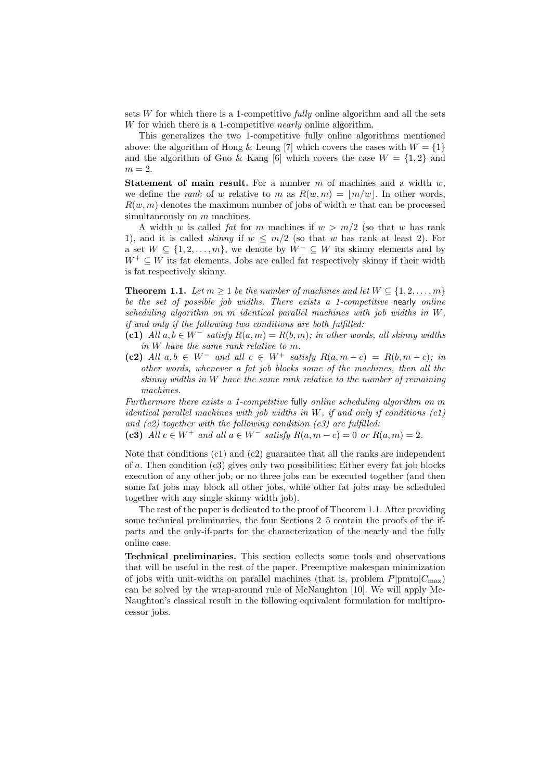sets  $W$  for which there is a 1-competitive fully online algorithm and all the sets W for which there is a 1-competitive *nearly* online algorithm.

This generalizes the two 1-competitive fully online algorithms mentioned above: the algorithm of Hong & Leung [7] which covers the cases with  $W = \{1\}$ and the algorithm of Guo & Kang [6] which covers the case  $W = \{1, 2\}$  and  $m = 2$ .

Statement of main result. For a number  $m$  of machines and a width  $w$ , we define the rank of w relative to m as  $R(w, m) = \vert m/w \vert$ . In other words,  $R(w, m)$  denotes the maximum number of jobs of width w that can be processed simultaneously on  $m$  machines.

A width w is called fat for m machines if  $w > m/2$  (so that w has rank 1), and it is called *skinny* if  $w \leq m/2$  (so that w has rank at least 2). For a set  $W \subseteq \{1, 2, ..., m\}$ , we denote by  $W^- \subseteq W$  its skinny elements and by  $W^+ \subseteq W$  its fat elements. Jobs are called fat respectively skinny if their width is fat respectively skinny.

**Theorem 1.1.** Let  $m > 1$  be the number of machines and let  $W \subseteq \{1, 2, \ldots, m\}$ be the set of possible job widths. There exists a 1-competitive nearly online scheduling algorithm on m identical parallel machines with job widths in W, if and only if the following two conditions are both fulfilled:

(c1) All  $a, b \in W^-$  satisfy  $R(a, m) = R(b, m)$ ; in other words, all skinny widths in W have the same rank relative to m.

(c2) All  $a, b \in W^-$  and all  $c \in W^+$  satisfy  $R(a, m - c) = R(b, m - c)$ ; in other words, whenever a fat job blocks some of the machines, then all the skinny widths in W have the same rank relative to the number of remaining machines.

Furthermore there exists a 1-competitive fully online scheduling algorithm on m identical parallel machines with job widths in  $W$ , if and only if conditions  $(c1)$ and  $(c2)$  together with the following condition  $(c3)$  are fulfilled:

(c3) All  $c \in W^+$  and all  $a \in W^-$  satisfy  $R(a, m - c) = 0$  or  $R(a, m) = 2$ .

Note that conditions (c1) and (c2) guarantee that all the ranks are independent of a. Then condition (c3) gives only two possibilities: Either every fat job blocks execution of any other job, or no three jobs can be executed together (and then some fat jobs may block all other jobs, while other fat jobs may be scheduled together with any single skinny width job).

The rest of the paper is dedicated to the proof of Theorem 1.1. After providing some technical preliminaries, the four Sections 2–5 contain the proofs of the ifparts and the only-if-parts for the characterization of the nearly and the fully online case.

Technical preliminaries. This section collects some tools and observations that will be useful in the rest of the paper. Preemptive makespan minimization of jobs with unit-widths on parallel machines (that is, problem  $P|pmtn|C_{\text{max}}$ ) can be solved by the wrap-around rule of McNaughton [10]. We will apply Mc-Naughton's classical result in the following equivalent formulation for multiprocessor jobs.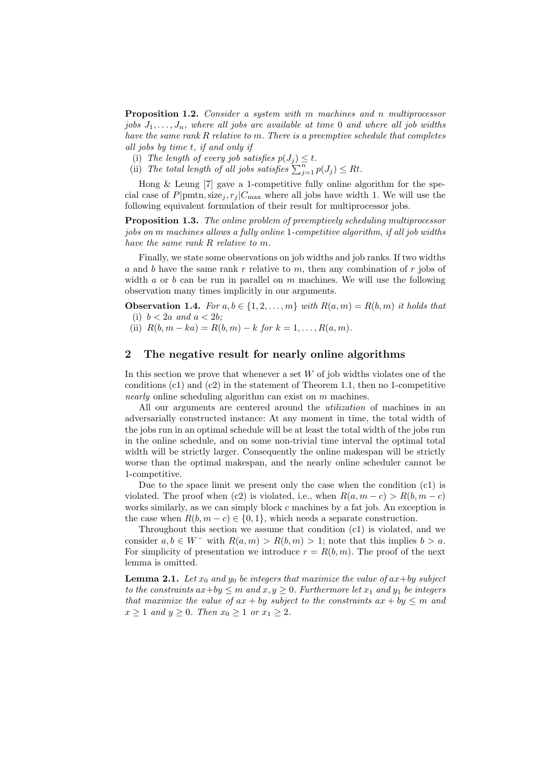**Proposition 1.2.** Consider a system with m machines and n multiprocessor jobs  $J_1, \ldots, J_n$ , where all jobs are available at time 0 and where all job widths have the same rank R relative to m. There is a preemptive schedule that completes all jobs by time t, if and only if

- (i) The length of every job satisfies  $p(J_i) \leq t$ .
- (ii) The total length of all jobs satisfies  $\sum_{j=1}^{n} p(J_j) \leq Rt$ .

Hong & Leung [7] gave a 1-competitive fully online algorithm for the special case of  $P|pmtn, size_j, r_j|C_{\text{max}}$  where all jobs have width 1. We will use the following equivalent formulation of their result for multiprocessor jobs.

**Proposition 1.3.** The online problem of preemptively scheduling multiprocessor jobs on m machines allows a fully online 1-competitive algorithm, if all job widths have the same rank R relative to m.

Finally, we state some observations on job widths and job ranks. If two widths a and b have the same rank r relative to m, then any combination of r jobs of width a or b can be run in parallel on  $m$  machines. We will use the following observation many times implicitly in our arguments.

**Observation 1.4.** For  $a, b \in \{1, 2, ..., m\}$  with  $R(a, m) = R(b, m)$  it holds that (i)  $b < 2a$  and  $a < 2b$ ;

(ii)  $R(b, m - ka) = R(b, m) - k$  for  $k = 1, ..., R(a, m)$ .

#### 2 The negative result for nearly online algorithms

In this section we prove that whenever a set  $W$  of job widths violates one of the conditions  $(c_1)$  and  $(c_2)$  in the statement of Theorem 1.1, then no 1-competitive nearly online scheduling algorithm can exist on m machines.

All our arguments are centered around the utilization of machines in an adversarially constructed instance: At any moment in time, the total width of the jobs run in an optimal schedule will be at least the total width of the jobs run in the online schedule, and on some non-trivial time interval the optimal total width will be strictly larger. Consequently the online makespan will be strictly worse than the optimal makespan, and the nearly online scheduler cannot be 1-competitive.

Due to the space limit we present only the case when the condition (c1) is violated. The proof when (c2) is violated, i.e., when  $R(a, m - c) > R(b, m - c)$ works similarly, as we can simply block  $c$  machines by a fat job. An exception is the case when  $R(b, m - c) \in \{0, 1\}$ , which needs a separate construction.

Throughout this section we assume that condition (c1) is violated, and we consider  $a, b \in W^-$  with  $R(a, m) > R(b, m) > 1$ ; note that this implies  $b > a$ . For simplicity of presentation we introduce  $r = R(b, m)$ . The proof of the next lemma is omitted.

**Lemma 2.1.** Let  $x_0$  and  $y_0$  be integers that maximize the value of  $ax+by$  subject to the constraints  $ax+by \leq m$  and  $x, y \geq 0$ . Furthermore let  $x_1$  and  $y_1$  be integers that maximize the value of  $ax + by$  subject to the constraints  $ax + by \leq m$  and  $x \geq 1$  and  $y \geq 0$ . Then  $x_0 \geq 1$  or  $x_1 \geq 2$ .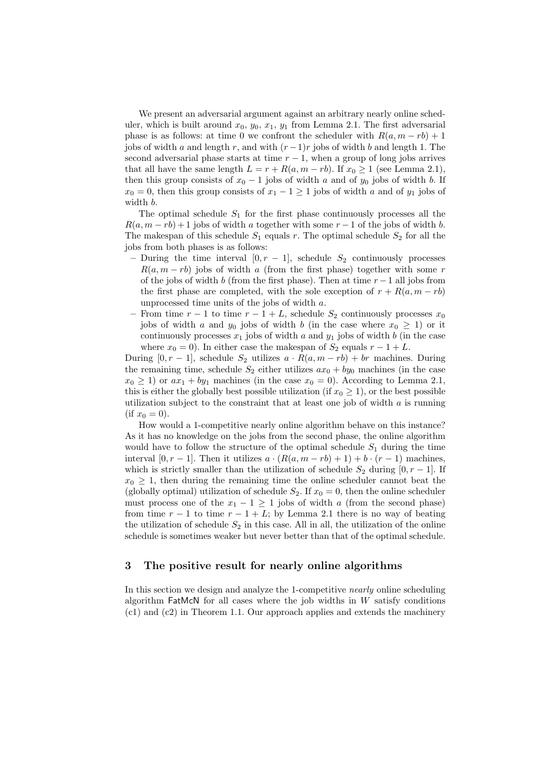We present an adversarial argument against an arbitrary nearly online scheduler, which is built around  $x_0, y_0, x_1, y_1$  from Lemma 2.1. The first adversarial phase is as follows: at time 0 we confront the scheduler with  $R(a, m - rb) + 1$ jobs of width a and length r, and with  $(r-1)r$  jobs of width b and length 1. The second adversarial phase starts at time  $r - 1$ , when a group of long jobs arrives that all have the same length  $L = r + R(a, m - rb)$ . If  $x_0 \ge 1$  (see Lemma 2.1), then this group consists of  $x_0 - 1$  jobs of width a and of  $y_0$  jobs of width b. If  $x_0 = 0$ , then this group consists of  $x_1 - 1 \ge 1$  jobs of width a and of  $y_1$  jobs of width b.

The optimal schedule  $S_1$  for the first phase continuously processes all the  $R(a, m - rb) + 1$  jobs of width a together with some  $r - 1$  of the jobs of width b. The makespan of this schedule  $S_1$  equals r. The optimal schedule  $S_2$  for all the jobs from both phases is as follows:

- During the time interval  $[0, r 1]$ , schedule  $S_2$  continuously processes  $R(a, m-rb)$  jobs of width a (from the first phase) together with some r of the jobs of width b (from the first phase). Then at time  $r-1$  all jobs from the first phase are completed, with the sole exception of  $r + R(a, m - rb)$ unprocessed time units of the jobs of width a.
- From time  $r-1$  to time  $r-1+L$ , schedule  $S_2$  continuously processes  $x_0$ jobs of width a and  $y_0$  jobs of width b (in the case where  $x_0 > 1$ ) or it continuously processes  $x_1$  jobs of width a and  $y_1$  jobs of width b (in the case where  $x_0 = 0$ ). In either case the makespan of  $S_2$  equals  $r - 1 + L$ .

During  $[0, r - 1]$ , schedule  $S_2$  utilizes  $a \cdot R(a, m - rb) + br$  machines. During the remaining time, schedule  $S_2$  either utilizes  $ax_0 + by_0$  machines (in the case  $x_0 \ge 1$ ) or  $ax_1 + by_1$  machines (in the case  $x_0 = 0$ ). According to Lemma 2.1, this is either the globally best possible utilization (if  $x_0 \geq 1$ ), or the best possible utilization subject to the constraint that at least one job of width  $a$  is running (if  $x_0 = 0$ ).

How would a 1-competitive nearly online algorithm behave on this instance? As it has no knowledge on the jobs from the second phase, the online algorithm would have to follow the structure of the optimal schedule  $S_1$  during the time interval [0, r – 1]. Then it utilizes  $a \cdot (R(a, m-rb) + 1) + b \cdot (r-1)$  machines, which is strictly smaller than the utilization of schedule  $S_2$  during [0, r – 1]. If  $x_0 \geq 1$ , then during the remaining time the online scheduler cannot beat the (globally optimal) utilization of schedule  $S_2$ . If  $x_0 = 0$ , then the online scheduler must process one of the  $x_1 - 1 \ge 1$  jobs of width a (from the second phase) from time  $r - 1$  to time  $r - 1 + L$ ; by Lemma 2.1 there is no way of beating the utilization of schedule  $S_2$  in this case. All in all, the utilization of the online schedule is sometimes weaker but never better than that of the optimal schedule.

# 3 The positive result for nearly online algorithms

In this section we design and analyze the 1-competitive nearly online scheduling algorithm  $FatMcN$  for all cases where the job widths in W satisfy conditions (c1) and (c2) in Theorem 1.1. Our approach applies and extends the machinery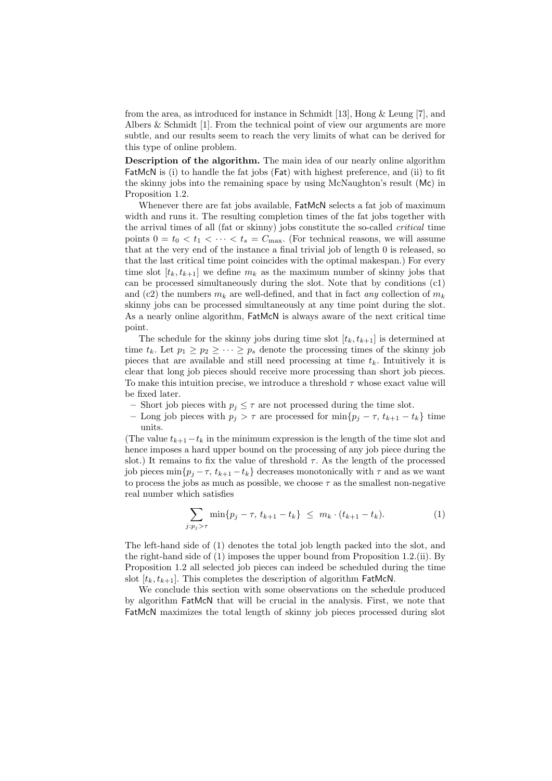from the area, as introduced for instance in Schmidt [13], Hong  $\&$  Leung [7], and Albers & Schmidt [1]. From the technical point of view our arguments are more subtle, and our results seem to reach the very limits of what can be derived for this type of online problem.

Description of the algorithm. The main idea of our nearly online algorithm FatMcN is (i) to handle the fat jobs (Fat) with highest preference, and (ii) to fit the skinny jobs into the remaining space by using McNaughton's result (Mc) in Proposition 1.2.

Whenever there are fat jobs available, FatMcN selects a fat job of maximum width and runs it. The resulting completion times of the fat jobs together with the arrival times of all (fat or skinny) jobs constitute the so-called critical time points  $0 = t_0 < t_1 < \cdots < t_s = C_{\text{max}}$ . (For technical reasons, we will assume that at the very end of the instance a final trivial job of length 0 is released, so that the last critical time point coincides with the optimal makespan.) For every time slot  $[t_k, t_{k+1}]$  we define  $m_k$  as the maximum number of skinny jobs that can be processed simultaneously during the slot. Note that by conditions (c1) and (c2) the numbers  $m_k$  are well-defined, and that in fact any collection of  $m_k$ skinny jobs can be processed simultaneously at any time point during the slot. As a nearly online algorithm, FatMcN is always aware of the next critical time point.

The schedule for the skinny jobs during time slot  $[t_k, t_{k+1}]$  is determined at time  $t_k$ . Let  $p_1 \geq p_2 \geq \cdots \geq p_s$  denote the processing times of the skinny job pieces that are available and still need processing at time  $t_k$ . Intuitively it is clear that long job pieces should receive more processing than short job pieces. To make this intuition precise, we introduce a threshold  $\tau$  whose exact value will be fixed later.

- Short job pieces with  $p_i \leq \tau$  are not processed during the time slot.
- Long job pieces with  $p_j > \tau$  are processed for  $\min\{p_j \tau, t_{k+1} t_k\}$  time units.

(The value  $t_{k+1}-t_k$  in the minimum expression is the length of the time slot and hence imposes a hard upper bound on the processing of any job piece during the slot.) It remains to fix the value of threshold  $\tau$ . As the length of the processed job pieces min $\{p_i - \tau, t_{k+1} - t_k\}$  decreases monotonically with  $\tau$  and as we want to process the jobs as much as possible, we choose  $\tau$  as the smallest non-negative real number which satisfies

$$
\sum_{j:p_j>\tau} \min\{p_j-\tau, t_{k+1}-t_k\} \le m_k \cdot (t_{k+1}-t_k). \tag{1}
$$

The left-hand side of (1) denotes the total job length packed into the slot, and the right-hand side of (1) imposes the upper bound from Proposition 1.2.(ii). By Proposition 1.2 all selected job pieces can indeed be scheduled during the time slot  $[t_k, t_{k+1}]$ . This completes the description of algorithm FatMcN.

We conclude this section with some observations on the schedule produced by algorithm FatMcN that will be crucial in the analysis. First, we note that FatMcN maximizes the total length of skinny job pieces processed during slot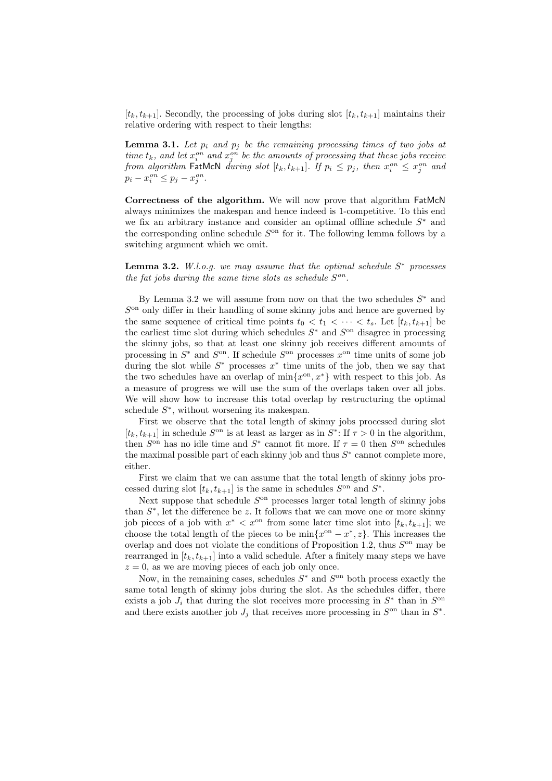$[t_k, t_{k+1}]$ . Secondly, the processing of jobs during slot  $[t_k, t_{k+1}]$  maintains their relative ordering with respect to their lengths:

**Lemma 3.1.** Let  $p_i$  and  $p_j$  be the remaining processing times of two jobs at time  $t_k$ , and let  $x_i^{on}$  and  $x_j^{on}$  be the amounts of processing that these jobs receive from algorithm  $\textsf{FatMcN}\,$  during slot  $[t_k,t_{k+1}]$ . If  $p_i\leq p_j,$  then  $x_i^{on}\leq x_j^{on}$  and  $p_i - x_i^{on} \leq p_j - x_j^{on}.$ 

Correctness of the algorithm. We will now prove that algorithm FatMcN always minimizes the makespan and hence indeed is 1-competitive. To this end we fix an arbitrary instance and consider an optimal offline schedule  $S^*$  and the corresponding online schedule  $S^{\text{on}}$  for it. The following lemma follows by a switching argument which we omit.

**Lemma 3.2.** W.l.o.g. we may assume that the optimal schedule  $S^*$  processes the fat jobs during the same time slots as schedule  $S^{on}$ .

By Lemma 3.2 we will assume from now on that the two schedules  $S^*$  and S<sup>on</sup> only differ in their handling of some skinny jobs and hence are governed by the same sequence of critical time points  $t_0 < t_1 < \cdots < t_s$ . Let  $[t_k, t_{k+1}]$  be the earliest time slot during which schedules  $S^*$  and  $S^{on}$  disagree in processing the skinny jobs, so that at least one skinny job receives different amounts of processing in  $S^*$  and  $S^{on}$ . If schedule  $S^{on}$  processes  $x^{on}$  time units of some job during the slot while  $S^*$  processes  $x^*$  time units of the job, then we say that the two schedules have an overlap of  $\min\{x^{\text{on}},x^*\}$  with respect to this job. As a measure of progress we will use the sum of the overlaps taken over all jobs. We will show how to increase this total overlap by restructuring the optimal schedule  $S^*$ , without worsening its makespan.

First we observe that the total length of skinny jobs processed during slot  $[t_k, t_{k+1}]$  in schedule  $S^{\text{on}}$  is at least as larger as in  $S^*$ : If  $\tau > 0$  in the algorithm, then  $S^{\text{on}}$  has no idle time and  $S^*$  cannot fit more. If  $\tau = 0$  then  $S^{\text{on}}$  schedules the maximal possible part of each skinny job and thus  $S^*$  cannot complete more, either.

First we claim that we can assume that the total length of skinny jobs processed during slot  $[t_k, t_{k+1}]$  is the same in schedules  $S^{\text{on}}$  and  $S^*$ .

Next suppose that schedule  $S<sup>on</sup>$  processes larger total length of skinny jobs than  $S^*$ , let the difference be z. It follows that we can move one or more skinny job pieces of a job with  $x^* < x$ <sup>on</sup> from some later time slot into  $[t_k, t_{k+1}]$ ; we choose the total length of the pieces to be  $\min\{x^{\text{on}} - x^*, z\}$ . This increases the overlap and does not violate the conditions of Proposition 1.2, thus  $S<sup>on</sup>$  may be rearranged in  $[t_k, t_{k+1}]$  into a valid schedule. After a finitely many steps we have  $z = 0$ , as we are moving pieces of each job only once.

Now, in the remaining cases, schedules  $S^*$  and  $S^{on}$  both process exactly the same total length of skinny jobs during the slot. As the schedules differ, there exists a job  $J_i$  that during the slot receives more processing in  $S^*$  than in  $S^{\text{on}}$ and there exists another job  $J_j$  that receives more processing in  $S^{on}$  than in  $S^*$ .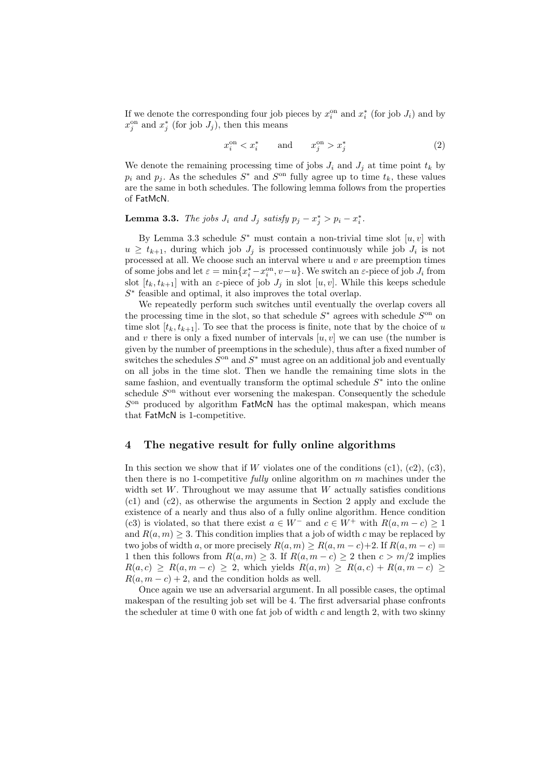If we denote the corresponding four job pieces by  $x_i^{\text{on}}$  and  $x_i^*$  (for job  $J_i$ ) and by  $x_j^{\text{on}}$  and  $x_j^*$  (for job  $J_j$ ), then this means

$$
x_i^{\text{on}} < x_i^* \qquad \text{and} \qquad x_j^{\text{on}} > x_j^* \tag{2}
$$

We denote the remaining processing time of jobs  $J_i$  and  $J_j$  at time point  $t_k$  by  $p_i$  and  $p_j$ . As the schedules  $S^*$  and  $S^{on}$  fully agree up to time  $t_k$ , these values are the same in both schedules. The following lemma follows from the properties of FatMcN.

**Lemma 3.3.** The jobs  $J_i$  and  $J_j$  satisfy  $p_j - x_j^* > p_i - x_i^*$ .

By Lemma 3.3 schedule  $S^*$  must contain a non-trivial time slot  $[u, v]$  with  $u \geq t_{k+1}$ , during which job  $J_j$  is processed continuously while job  $J_i$  is not processed at all. We choose such an interval where  $u$  and  $v$  are preemption times of some jobs and let  $\varepsilon = \min\{x_i^* - x_i^{\text{on}}, v - u\}$ . We switch an  $\varepsilon$ -piece of job  $J_i$  from slot  $[t_k, t_{k+1}]$  with an  $\varepsilon$ -piece of job  $J_i$  in slot  $[u, v]$ . While this keeps schedule S<sup>\*</sup> feasible and optimal, it also improves the total overlap.

We repeatedly perform such switches until eventually the overlap covers all the processing time in the slot, so that schedule  $S^*$  agrees with schedule  $S^{on}$  on time slot  $[t_k, t_{k+1}]$ . To see that the process is finite, note that by the choice of u and v there is only a fixed number of intervals  $[u, v]$  we can use (the number is given by the number of preemptions in the schedule), thus after a fixed number of switches the schedules  $S^{on}$  and  $S^*$  must agree on an additional job and eventually on all jobs in the time slot. Then we handle the remaining time slots in the same fashion, and eventually transform the optimal schedule  $S^*$  into the online schedule  $S<sup>on</sup>$  without ever worsening the makespan. Consequently the schedule S<sup>on</sup> produced by algorithm FatMcN has the optimal makespan, which means that FatMcN is 1-competitive.

## 4 The negative result for fully online algorithms

In this section we show that if W violates one of the conditions (c1), (c2), (c3), then there is no 1-competitive fully online algorithm on  $m$  machines under the width set  $W$ . Throughout we may assume that  $W$  actually satisfies conditions (c1) and (c2), as otherwise the arguments in Section 2 apply and exclude the existence of a nearly and thus also of a fully online algorithm. Hence condition (c3) is violated, so that there exist  $a \in W^-$  and  $c \in W^+$  with  $R(a, m - c) \geq 1$ and  $R(a, m) \geq 3$ . This condition implies that a job of width c may be replaced by two jobs of width a, or more precisely  $R(a, m) \ge R(a, m - c) + 2$ . If  $R(a, m - c) =$ 1 then this follows from  $R(a, m) \geq 3$ . If  $R(a, m - c) \geq 2$  then  $c > m/2$  implies  $R(a, c) \geq R(a, m - c) \geq 2$ , which yields  $R(a, m) \geq R(a, c) + R(a, m - c) \geq 1$  $R(a, m - c) + 2$ , and the condition holds as well.

Once again we use an adversarial argument. In all possible cases, the optimal makespan of the resulting job set will be 4. The first adversarial phase confronts the scheduler at time 0 with one fat job of width c and length 2, with two skinny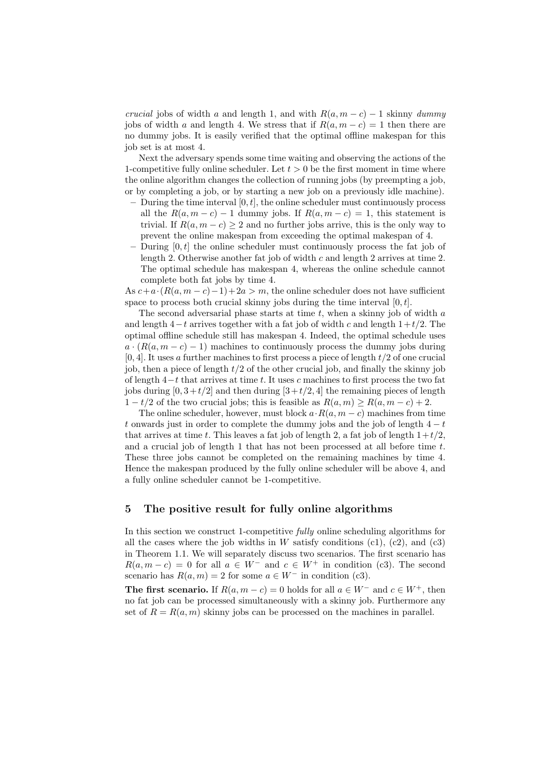crucial jobs of width a and length 1, and with  $R(a, m - c) - 1$  skinny dummy jobs of width a and length 4. We stress that if  $R(a, m - c) = 1$  then there are no dummy jobs. It is easily verified that the optimal offline makespan for this job set is at most 4.

Next the adversary spends some time waiting and observing the actions of the 1-competitive fully online scheduler. Let  $t > 0$  be the first moment in time where the online algorithm changes the collection of running jobs (by preempting a job, or by completing a job, or by starting a new job on a previously idle machine).

- During the time interval  $[0, t]$ , the online scheduler must continuously process all the  $R(a, m - c) - 1$  dummy jobs. If  $R(a, m - c) = 1$ , this statement is trivial. If  $R(a, m - c) \geq 2$  and no further jobs arrive, this is the only way to prevent the online makespan from exceeding the optimal makespan of 4.
- During  $[0, t]$  the online scheduler must continuously process the fat job of length 2. Otherwise another fat job of width c and length 2 arrives at time 2. The optimal schedule has makespan 4, whereas the online schedule cannot complete both fat jobs by time 4.

As  $c+a\cdot(R(a,m-c)-1)+2a>m$ , the online scheduler does not have sufficient space to process both crucial skinny jobs during the time interval  $[0, t]$ .

The second adversarial phase starts at time  $t$ , when a skinny job of width  $a$ and length  $4-t$  arrives together with a fat job of width c and length  $1+t/2$ . The optimal offline schedule still has makespan 4. Indeed, the optimal schedule uses  $a \cdot (R(a, m - c) - 1)$  machines to continuously process the dummy jobs during  $[0, 4]$ . It uses a further machines to first process a piece of length  $t/2$  of one crucial job, then a piece of length  $t/2$  of the other crucial job, and finally the skinny job of length  $4-t$  that arrives at time t. It uses c machines to first process the two fat jobs during  $[0, 3+t/2]$  and then during  $[3+t/2, 4]$  the remaining pieces of length  $1 - t/2$  of the two crucial jobs; this is feasible as  $R(a, m) \ge R(a, m - c) + 2$ .

The online scheduler, however, must block  $a \cdot R(a, m - c)$  machines from time t onwards just in order to complete the dummy jobs and the job of length  $4 - t$ that arrives at time t. This leaves a fat job of length 2, a fat job of length  $1+t/2$ , and a crucial job of length 1 that has not been processed at all before time  $t$ . These three jobs cannot be completed on the remaining machines by time 4. Hence the makespan produced by the fully online scheduler will be above 4, and a fully online scheduler cannot be 1-competitive.

## 5 The positive result for fully online algorithms

In this section we construct 1-competitive fully online scheduling algorithms for all the cases where the job widths in  $W$  satisfy conditions (c1), (c2), and (c3) in Theorem 1.1. We will separately discuss two scenarios. The first scenario has  $R(a, m - c) = 0$  for all  $a \in W^-$  and  $c \in W^+$  in condition (c3). The second scenario has  $R(a, m) = 2$  for some  $a \in W^-$  in condition (c3).

The first scenario. If  $R(a, m - c) = 0$  holds for all  $a \in W^-$  and  $c \in W^+$ , then no fat job can be processed simultaneously with a skinny job. Furthermore any set of  $R = R(a, m)$  skinny jobs can be processed on the machines in parallel.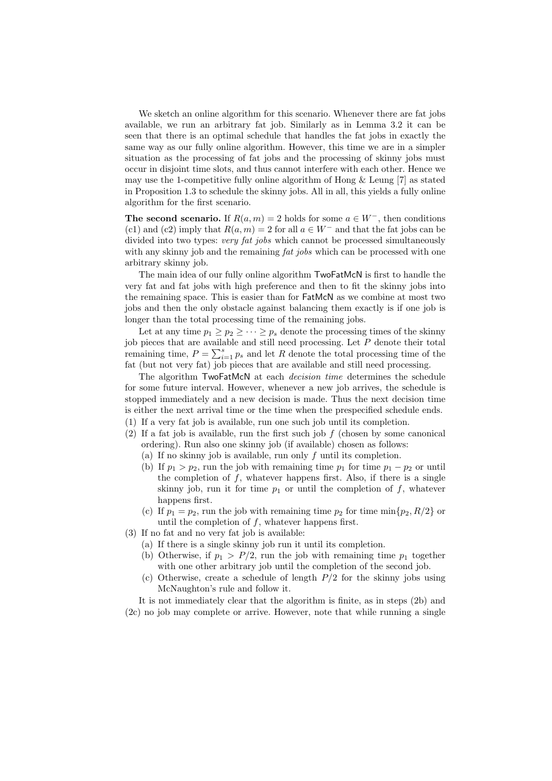We sketch an online algorithm for this scenario. Whenever there are fat jobs available, we run an arbitrary fat job. Similarly as in Lemma 3.2 it can be seen that there is an optimal schedule that handles the fat jobs in exactly the same way as our fully online algorithm. However, this time we are in a simpler situation as the processing of fat jobs and the processing of skinny jobs must occur in disjoint time slots, and thus cannot interfere with each other. Hence we may use the 1-competitive fully online algorithm of Hong  $\&$  Leung [7] as stated in Proposition 1.3 to schedule the skinny jobs. All in all, this yields a fully online algorithm for the first scenario.

The second scenario. If  $R(a, m) = 2$  holds for some  $a \in W^-$ , then conditions (c1) and (c2) imply that  $R(a, m) = 2$  for all  $a \in W^-$  and that the fat jobs can be divided into two types: very fat jobs which cannot be processed simultaneously with any skinny job and the remaining *fat jobs* which can be processed with one arbitrary skinny job.

The main idea of our fully online algorithm TwoFatMcN is first to handle the very fat and fat jobs with high preference and then to fit the skinny jobs into the remaining space. This is easier than for FatMcN as we combine at most two jobs and then the only obstacle against balancing them exactly is if one job is longer than the total processing time of the remaining jobs.

Let at any time  $p_1 \geq p_2 \geq \cdots \geq p_s$  denote the processing times of the skinny job pieces that are available and still need processing. Let P denote their total remaining time,  $P = \sum_{i=1}^{s} p_s$  and let R denote the total processing time of the fat (but not very fat) job pieces that are available and still need processing.

The algorithm TwoFatMcN at each *decision time* determines the schedule for some future interval. However, whenever a new job arrives, the schedule is stopped immediately and a new decision is made. Thus the next decision time is either the next arrival time or the time when the prespecified schedule ends.

- (1) If a very fat job is available, run one such job until its completion.
- (2) If a fat job is available, run the first such job  $f$  (chosen by some canonical ordering). Run also one skinny job (if available) chosen as follows:
	- (a) If no skinny job is available, run only f until its completion.
	- (b) If  $p_1 > p_2$ , run the job with remaining time  $p_1$  for time  $p_1 p_2$  or until the completion of  $f$ , whatever happens first. Also, if there is a single skinny job, run it for time  $p_1$  or until the completion of f, whatever happens first.
	- (c) If  $p_1 = p_2$ , run the job with remaining time  $p_2$  for time min $\{p_2, R/2\}$  or until the completion of  $f$ , whatever happens first.
- (3) If no fat and no very fat job is available:
	- (a) If there is a single skinny job run it until its completion.
	- (b) Otherwise, if  $p_1 > P/2$ , run the job with remaining time  $p_1$  together with one other arbitrary job until the completion of the second job.
	- (c) Otherwise, create a schedule of length  $P/2$  for the skinny jobs using McNaughton's rule and follow it.

It is not immediately clear that the algorithm is finite, as in steps (2b) and (2c) no job may complete or arrive. However, note that while running a single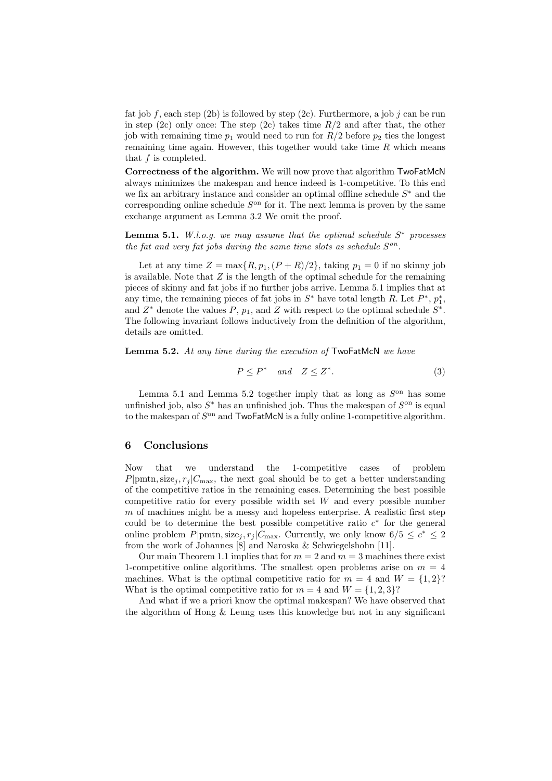fat job f, each step  $(2b)$  is followed by step  $(2c)$ . Furthermore, a job j can be run in step (2c) only once: The step (2c) takes time  $R/2$  and after that, the other job with remaining time  $p_1$  would need to run for  $R/2$  before  $p_2$  ties the longest remaining time again. However, this together would take time  $R$  which means that f is completed.

Correctness of the algorithm. We will now prove that algorithm TwoFatMcN always minimizes the makespan and hence indeed is 1-competitive. To this end we fix an arbitrary instance and consider an optimal offline schedule  $S^*$  and the corresponding online schedule  $S<sup>on</sup>$  for it. The next lemma is proven by the same exchange argument as Lemma 3.2 We omit the proof.

**Lemma 5.1.** W.l.o.g. we may assume that the optimal schedule  $S^*$  processes the fat and very fat jobs during the same time slots as schedule  $S^{on}$ .

Let at any time  $Z = \max\{R, p_1, (P + R)/2\}$ , taking  $p_1 = 0$  if no skinny job is available. Note that  $Z$  is the length of the optimal schedule for the remaining pieces of skinny and fat jobs if no further jobs arrive. Lemma 5.1 implies that at any time, the remaining pieces of fat jobs in  $S^*$  have total length R. Let  $P^*$ ,  $p_1^*$ , and  $Z^*$  denote the values  $P$ ,  $p_1$ , and  $Z$  with respect to the optimal schedule  $S^*$ . The following invariant follows inductively from the definition of the algorithm, details are omitted.

Lemma 5.2. At any time during the execution of TwoFatMcN we have

$$
P \le P^* \quad and \quad Z \le Z^*.
$$
 (3)

Lemma 5.1 and Lemma 5.2 together imply that as long as  $S<sup>on</sup>$  has some unfinished job, also  $S^*$  has an unfinished job. Thus the makespan of  $S^{on}$  is equal to the makespan of  $S^{on}$  and  $\mathsf{TwoFactMcN}$  is a fully online 1-competitive algorithm.

## 6 Conclusions

Now that we understand the 1-competitive cases of problem  $P|\text{pmtn,size}_j, r_j|C_{\text{max}}$ , the next goal should be to get a better understanding of the competitive ratios in the remaining cases. Determining the best possible competitive ratio for every possible width set  $W$  and every possible number  $m$  of machines might be a messy and hopeless enterprise. A realistic first step could be to determine the best possible competitive ratio  $c^*$  for the general online problem  $P|\text{pmtn,size}_j, r_j|C_{\text{max}}$ . Currently, we only know  $6/5 \leq c^* \leq 2$ from the work of Johannes [8] and Naroska & Schwiegelshohn [11].

Our main Theorem 1.1 implies that for  $m = 2$  and  $m = 3$  machines there exist 1-competitive online algorithms. The smallest open problems arise on  $m = 4$ machines. What is the optimal competitive ratio for  $m = 4$  and  $W = \{1, 2\}$ ? What is the optimal competitive ratio for  $m = 4$  and  $W = \{1, 2, 3\}$ ?

And what if we a priori know the optimal makespan? We have observed that the algorithm of Hong & Leung uses this knowledge but not in any significant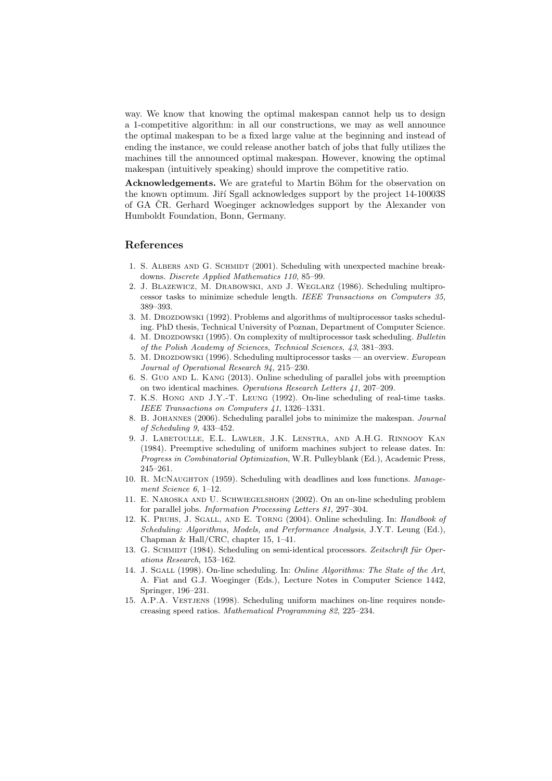way. We know that knowing the optimal makespan cannot help us to design a 1-competitive algorithm: in all our constructions, we may as well announce the optimal makespan to be a fixed large value at the beginning and instead of ending the instance, we could release another batch of jobs that fully utilizes the machines till the announced optimal makespan. However, knowing the optimal makespan (intuitively speaking) should improve the competitive ratio.

Acknowledgements. We are grateful to Martin Böhm for the observation on the known optimum. Jiří Sgall acknowledges support by the project 14-10003S of GA CR. Gerhard Woeginger acknowledges support by the Alexander von Humboldt Foundation, Bonn, Germany.

## References

- 1. S. Albers and G. Schmidt (2001). Scheduling with unexpected machine breakdowns. Discrete Applied Mathematics 110, 85–99.
- 2. J. Blazewicz, M. Drabowski, and J. Weglarz (1986). Scheduling multiprocessor tasks to minimize schedule length. IEEE Transactions on Computers 35, 389–393.
- 3. M. DROZDOWSKI (1992). Problems and algorithms of multiprocessor tasks scheduling. PhD thesis, Technical University of Poznan, Department of Computer Science.
- 4. M. Drozdowski (1995). On complexity of multiprocessor task scheduling. Bulletin of the Polish Academy of Sciences, Technical Sciences, 43, 381–393.
- 5. M. DROZDOWSKI (1996). Scheduling multiprocessor tasks an overview. European Journal of Operational Research 94, 215–230.
- 6. S. Guo and L. Kang (2013). Online scheduling of parallel jobs with preemption on two identical machines. Operations Research Letters 41, 207–209.
- 7. K.S. Hong and J.Y.-T. Leung (1992). On-line scheduling of real-time tasks. IEEE Transactions on Computers 41, 1326–1331.
- 8. B. JOHANNES (2006). Scheduling parallel jobs to minimize the makespan. Journal of Scheduling 9, 433–452.
- 9. J. Labetoulle, E.L. Lawler, J.K. Lenstra, and A.H.G. Rinnooy Kan (1984). Preemptive scheduling of uniform machines subject to release dates. In: Progress in Combinatorial Optimization, W.R. Pulleyblank (Ed.), Academic Press, 245–261.
- 10. R. McNaughton (1959). Scheduling with deadlines and loss functions. Management Science 6, 1–12.
- 11. E. Naroska and U. Schwiegelshohn (2002). On an on-line scheduling problem for parallel jobs. Information Processing Letters 81, 297–304.
- 12. K. PRUHS, J. SGALL, AND E. TORNG (2004). Online scheduling. In: Handbook of Scheduling: Algorithms, Models, and Performance Analysis, J.Y.T. Leung (Ed.), Chapman & Hall/CRC, chapter 15, 1–41.
- 13. G. SCHMIDT (1984). Scheduling on semi-identical processors. Zeitschrift für Operations Research, 153–162.
- 14. J. SGALL (1998). On-line scheduling. In: *Online Algorithms: The State of the Art*, A. Fiat and G.J. Woeginger (Eds.), Lecture Notes in Computer Science 1442, Springer, 196–231.
- 15. A.P.A. Vestjens (1998). Scheduling uniform machines on-line requires nondecreasing speed ratios. Mathematical Programming 82, 225–234.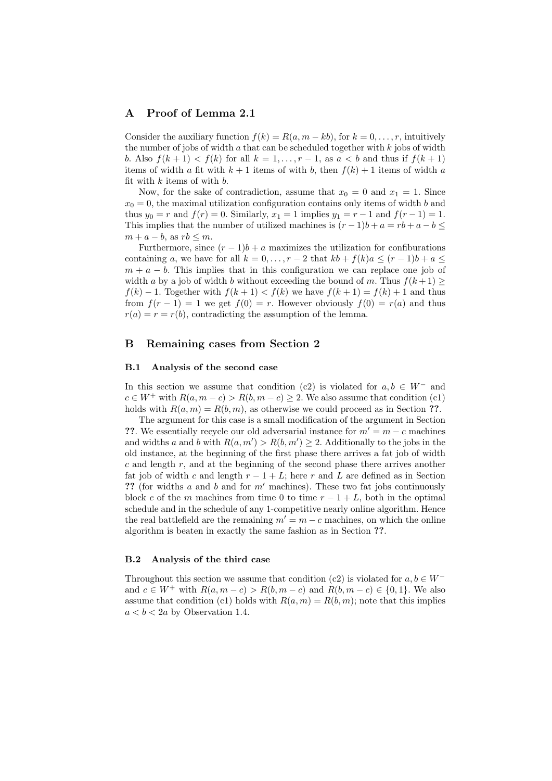# A Proof of Lemma 2.1

Consider the auxiliary function  $f(k) = R(a, m - kb)$ , for  $k = 0, \ldots, r$ , intuitively the number of jobs of width  $\alpha$  that can be scheduled together with  $k$  jobs of width b. Also  $f(k+1) < f(k)$  for all  $k = 1, \ldots, r-1$ , as  $a < b$  and thus if  $f(k+1)$ items of width a fit with  $k + 1$  items of with b, then  $f(k) + 1$  items of width a fit with  $k$  items of with  $b$ .

Now, for the sake of contradiction, assume that  $x_0 = 0$  and  $x_1 = 1$ . Since  $x_0 = 0$ , the maximal utilization configuration contains only items of width b and thus  $y_0 = r$  and  $f(r) = 0$ . Similarly,  $x_1 = 1$  implies  $y_1 = r - 1$  and  $f(r - 1) = 1$ . This implies that the number of utilized machines is  $(r-1)b + a = rb + a - b \leq$  $m + a - b$ , as  $rb \leq m$ .

Furthermore, since  $(r-1)b + a$  maximizes the utilization for confiburations containing a, we have for all  $k = 0, \ldots, r - 2$  that  $kb + f(k)a \leq (r - 1)b + a \leq$  $m + a - b$ . This implies that in this configuration we can replace one job of width a by a job of width b without exceeding the bound of m. Thus  $f(k+1)$  $f(k) - 1$ . Together with  $f(k + 1) < f(k)$  we have  $f(k + 1) = f(k) + 1$  and thus from  $f(r-1) = 1$  we get  $f(0) = r$ . However obviously  $f(0) = r(a)$  and thus  $r(a) = r = r(b)$ , contradicting the assumption of the lemma.

## B Remaining cases from Section 2

#### B.1 Analysis of the second case

In this section we assume that condition (c2) is violated for  $a, b \in W^-$  and  $c \in W^+$  with  $R(a, m - c) > R(b, m - c) \geq 2$ . We also assume that condition (c1) holds with  $R(a, m) = R(b, m)$ , as otherwise we could proceed as in Section ??.

The argument for this case is a small modification of the argument in Section ??. We essentially recycle our old adversarial instance for  $m' = m - c$  machines and widths a and b with  $R(a, m') > R(b, m') \geq 2$ . Additionally to the jobs in the old instance, at the beginning of the first phase there arrives a fat job of width  $c$  and length  $r$ , and at the beginning of the second phase there arrives another fat job of width c and length  $r - 1 + L$ ; here r and L are defined as in Section ?? (for widths a and b and for  $m'$  machines). These two fat jobs continuously block c of the m machines from time 0 to time  $r - 1 + L$ , both in the optimal schedule and in the schedule of any 1-competitive nearly online algorithm. Hence the real battlefield are the remaining  $m' = m - c$  machines, on which the online algorithm is beaten in exactly the same fashion as in Section ??.

#### B.2 Analysis of the third case

Throughout this section we assume that condition (c2) is violated for  $a, b \in W^$ and  $c \in W^+$  with  $R(a, m - c) > R(b, m - c)$  and  $R(b, m - c) \in \{0, 1\}$ . We also assume that condition (c1) holds with  $R(a, m) = R(b, m)$ ; note that this implies  $a < b < 2a$  by Observation 1.4.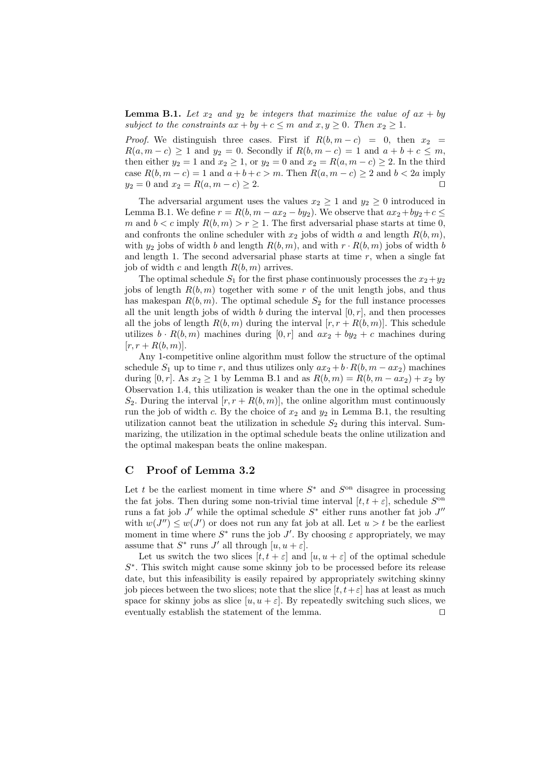**Lemma B.1.** Let  $x_2$  and  $y_2$  be integers that maximize the value of  $ax + by$ subject to the constraints  $ax + by + c \leq m$  and  $x, y \geq 0$ . Then  $x_2 \geq 1$ .

*Proof.* We distinguish three cases. First if  $R(b, m - c) = 0$ , then  $x_2 =$  $R(a, m - c) \ge 1$  and  $y_2 = 0$ . Secondly if  $R(b, m - c) = 1$  and  $a + b + c \le m$ , then either  $y_2 = 1$  and  $x_2 \ge 1$ , or  $y_2 = 0$  and  $x_2 = R(a, m - c) \ge 2$ . In the third case  $R(b, m - c) = 1$  and  $a + b + c > m$ . Then  $R(a, m - c) \ge 2$  and  $b < 2a$  imply  $y_2 = 0$  and  $x_2 = R(a, m - c) \ge 2$ .

The adversarial argument uses the values  $x_2 \geq 1$  and  $y_2 \geq 0$  introduced in Lemma B.1. We define  $r = R(b, m - ax_2 - by_2)$ . We observe that  $ax_2 + by_2 + c \leq$ m and  $b < c$  imply  $R(b, m) > r \ge 1$ . The first adversarial phase starts at time 0, and confronts the online scheduler with  $x_2$  jobs of width a and length  $R(b, m)$ , with  $y_2$  jobs of width b and length  $R(b, m)$ , and with  $r \cdot R(b, m)$  jobs of width b and length 1. The second adversarial phase starts at time  $r$ , when a single fat job of width c and length  $R(b, m)$  arrives.

The optimal schedule  $S_1$  for the first phase continuously processes the  $x_2+y_2$ jobs of length  $R(b, m)$  together with some r of the unit length jobs, and thus has makespan  $R(b, m)$ . The optimal schedule  $S_2$  for the full instance processes all the unit length jobs of width b during the interval  $[0, r]$ , and then processes all the jobs of length  $R(b, m)$  during the interval  $[r, r + R(b, m)]$ . This schedule utilizes  $b \cdot R(b, m)$  machines during  $[0, r]$  and  $ax_2 + by_2 + c$  machines during  $[r, r + R(b, m)].$ 

Any 1-competitive online algorithm must follow the structure of the optimal schedule  $S_1$  up to time r, and thus utilizes only  $ax_2 + b \cdot R(b, m - ax_2)$  machines during [0, r]. As  $x_2 \ge 1$  by Lemma B.1 and as  $R(b, m) = R(b, m - ax_2) + x_2$  by Observation 1.4, this utilization is weaker than the one in the optimal schedule  $S_2$ . During the interval  $[r, r + R(b, m)]$ , the online algorithm must continuously run the job of width c. By the choice of  $x_2$  and  $y_2$  in Lemma B.1, the resulting utilization cannot beat the utilization in schedule  $S_2$  during this interval. Summarizing, the utilization in the optimal schedule beats the online utilization and the optimal makespan beats the online makespan.

# C Proof of Lemma 3.2

Let t be the earliest moment in time where  $S^*$  and  $S^{\text{on}}$  disagree in processing the fat jobs. Then during some non-trivial time interval  $[t, t + \varepsilon]$ , schedule  $S^{\text{on}}$ runs a fat job  $J'$  while the optimal schedule  $S^*$  either runs another fat job  $J''$ with  $w(J'') \leq w(J')$  or does not run any fat job at all. Let  $u > t$  be the earliest moment in time where  $S^*$  runs the job J'. By choosing  $\varepsilon$  appropriately, we may assume that  $S^*$  runs  $J'$  all through  $[u, u + \varepsilon]$ .

Let us switch the two slices  $[t, t + \varepsilon]$  and  $[u, u + \varepsilon]$  of the optimal schedule S<sup>\*</sup>. This switch might cause some skinny job to be processed before its release date, but this infeasibility is easily repaired by appropriately switching skinny job pieces between the two slices; note that the slice  $[t, t + \varepsilon]$  has at least as much space for skinny jobs as slice  $[u, u + \varepsilon]$ . By repeatedly switching such slices, we eventually establish the statement of the lemma.  $\Box$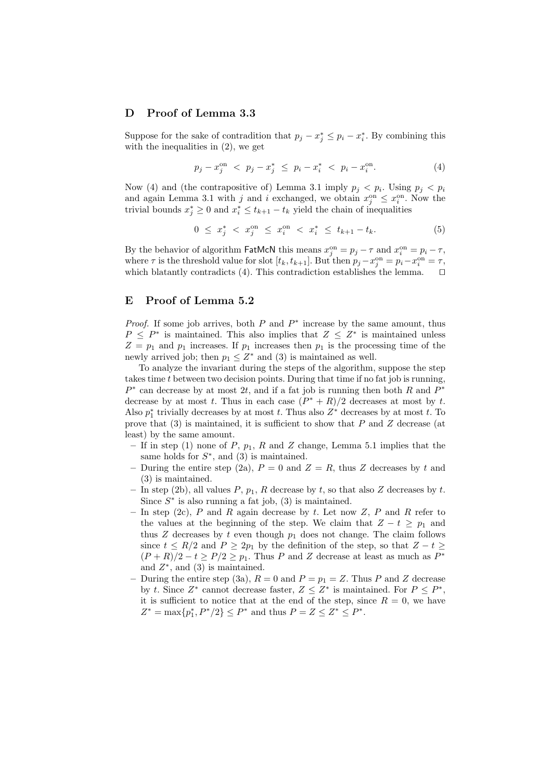## D Proof of Lemma 3.3

Suppose for the sake of contradition that  $p_j - x_j^* \leq p_i - x_i^*$ . By combining this with the inequalities in (2), we get

$$
p_j - x_j^{\text{on}} < \ p_j - x_j^* \leq p_i - x_i^* < \ p_i - x_i^{\text{on}}.\tag{4}
$$

Now (4) and (the contrapositive of) Lemma 3.1 imply  $p_j < p_i$ . Using  $p_j < p_i$ and again Lemma 3.1 with j and i exchanged, we obtain  $x_j^{\text{on}} \leq x_i^{\text{on}}$ . Now the trivial bounds  $x_j^* \geq 0$  and  $x_i^* \leq t_{k+1} - t_k$  yield the chain of inequalities

$$
0 \leq x_j^* < x_j^{\text{on}} \leq x_i^{\text{on}} < x_i^* \leq t_{k+1} - t_k. \tag{5}
$$

By the behavior of algorithm FatMcN this means  $x_j^{\text{on}} = p_j - \tau$  and  $x_i^{\text{on}} = p_i - \tau$ , where  $\tau$  is the threshold value for slot  $[t_k, t_{k+1}]$ . But then  $p_j - x_j^{\text{on}} = p_i - x_i^{\text{on}} = \tau$ , which blatantly contradicts (4). This contradiction establishes the lemma.  $\square$ 

## E Proof of Lemma 5.2

*Proof.* If some job arrives, both  $P$  and  $P^*$  increase by the same amount, thus  $P \leq P^*$  is maintained. This also implies that  $Z \leq Z^*$  is maintained unless  $Z = p_1$  and  $p_1$  increases. If  $p_1$  increases then  $p_1$  is the processing time of the newly arrived job; then  $p_1 \leq Z^*$  and (3) is maintained as well.

To analyze the invariant during the steps of the algorithm, suppose the step takes time  $t$  between two decision points. During that time if no fat job is running,  $P^*$  can decrease by at most 2t, and if a fat job is running then both R and  $P^*$ decrease by at most t. Thus in each case  $(P^* + R)/2$  decreases at most by t. Also  $p_1^*$  trivially decreases by at most  $t$ . Thus also  $Z^*$  decreases by at most  $t$ . To prove that  $(3)$  is maintained, it is sufficient to show that P and Z decrease (at least) by the same amount.

- If in step (1) none of P,  $p_1$ , R and Z change, Lemma 5.1 implies that the same holds for  $S^*$ , and  $(3)$  is maintained.
- During the entire step (2a),  $P = 0$  and  $Z = R$ , thus Z decreases by t and (3) is maintained.
- In step (2b), all values  $P$ ,  $p_1$ , R decrease by t, so that also Z decreases by t. Since  $S^*$  is also running a fat job, (3) is maintained.
- In step (2c), P and R again decrease by t. Let now Z, P and R refer to the values at the beginning of the step. We claim that  $Z - t \geq p_1$  and thus  $Z$  decreases by  $t$  even though  $p_1$  does not change. The claim follows since  $t \leq R/2$  and  $P \geq 2p_1$  by the definition of the step, so that  $Z - t \geq$  $(P+R)/2 - t \ge P/2 \ge p_1$ . Thus P and Z decrease at least as much as  $P^*$ and  $Z^*$ , and  $(3)$  is maintained.
- During the entire step (3a),  $R = 0$  and  $P = p_1 = Z$ . Thus P and Z decrease by t. Since  $Z^*$  cannot decrease faster,  $Z \leq Z^*$  is maintained. For  $P \leq P^*$ , it is sufficient to notice that at the end of the step, since  $R = 0$ , we have  $Z^* = \max\{p_1^*, P^*/2\} \le P^*$  and thus  $P = Z \le Z^* \le P^*$ .